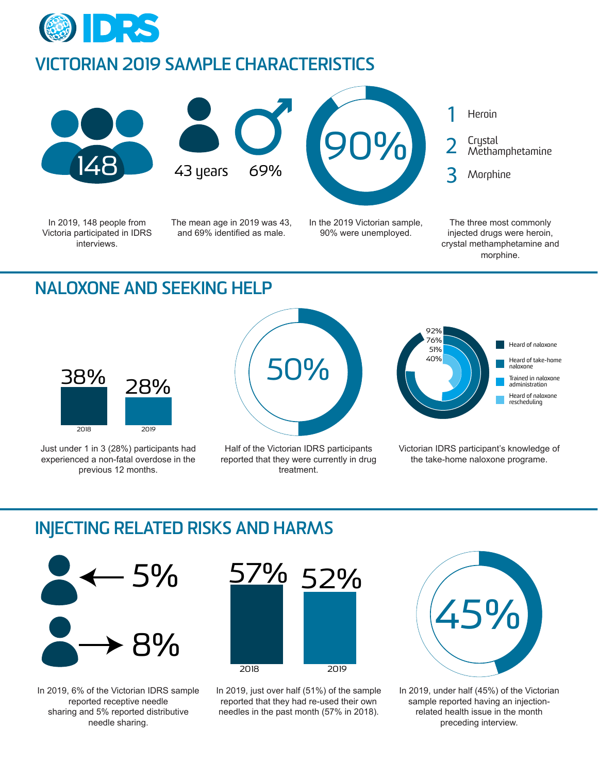

### **VICTORIAN 2019 SAMPLE CHARACTERISTICS**







In 2019, 148 people from Victoria participated in IDRS interviews.

The mean age in 2019 was 43, and 69% identified as male.

In the 2019 Victorian sample, 90% were unemployed.



The three most commonly injected drugs were heroin, crystal methamphetamine and morphine.

# **NALOXONE AND SEEKING HELP**



Just under 1 in 3 (28%) participants had experienced a non-fatal overdose in the previous 12 months.



Half of the Victorian IDRS participants reported that they were currently in drug treatment.



Victorian IDRS participant's knowledge of the take-home naloxone programe.

# **INJECTING RELATED RISKS AND HARMS**



In 2019, 6% of the Victorian IDRS sample reported receptive needle sharing and 5% reported distributive needle sharing.



In 2019, just over half (51%) of the sample reported that they had re-used their own needles in the past month (57% in 2018).



In 2019, under half (45%) of the Victorian sample reported having an injectionrelated health issue in the month preceding interview.